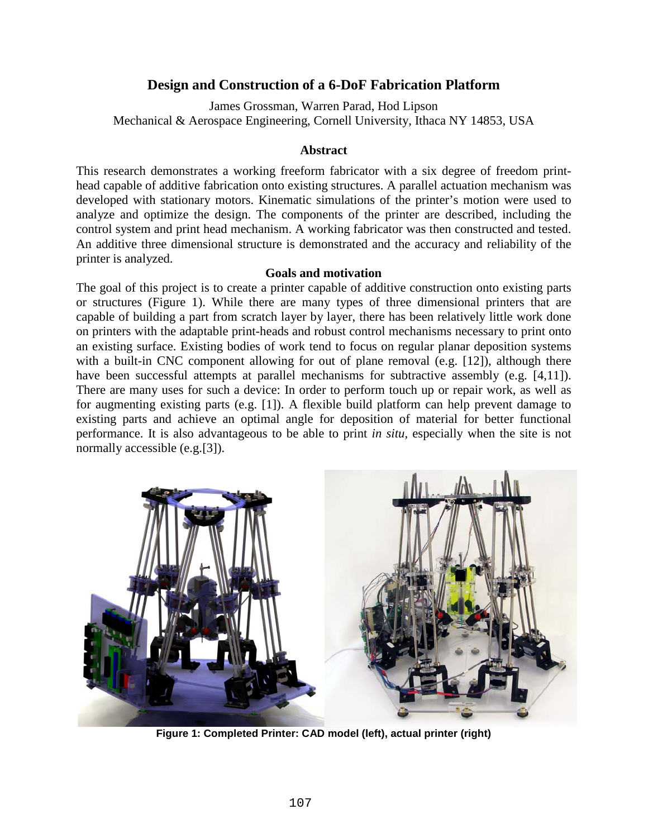# **Design and Construction of a 6-DoF Fabrication Platform**

James Grossman, Warren Parad, Hod Lipson Mechanical & Aerospace Engineering, Cornell University, Ithaca NY 14853, USA

## **Abstract**

This research demonstrates a working freeform fabricator with a six degree of freedom printhead capable of additive fabrication onto existing structures. A parallel actuation mechanism was developed with stationary motors. Kinematic simulations of the printer's motion were used to analyze and optimize the design. The components of the printer are described, including the control system and print head mechanism. A working fabricator was then constructed and tested. An additive three dimensional structure is demonstrated and the accuracy and reliability of the printer is analyzed.

## **Goals and motivation**

The goal of this project is to create a printer capable of additive construction onto existing parts or structures [\(Figure 1\)](#page-0-0). While there are many types of three dimensional printers that are capable of building a part from scratch layer by layer, there has been relatively little work done on printers with the adaptable print-heads and robust control mechanisms necessary to print onto an existing surface. Existing bodies of work tend to focus on regular planar deposition systems with a built-in CNC component allowing for out of plane removal (e.g. [\[12\]](#page-7-0)), although there have been successful attempts at parallel mechanisms for subtractive assembly (e.g. [\[4,](#page-7-1)[11\]](#page-7-2)). There are many uses for such a device: In order to perform touch up or repair work, as well as for augmenting existing parts (e.g. [\[1\]](#page-7-3)). A flexible build platform can help prevent damage to existing parts and achieve an optimal angle for deposition of material for better functional performance. It is also advantageous to be able to print *in situ*, especially when the site is not normally accessible (e.g.[\[3\]](#page-7-4)).

<span id="page-0-0"></span>

**Figure 1: Completed Printer: CAD model (left), actual printer (right)**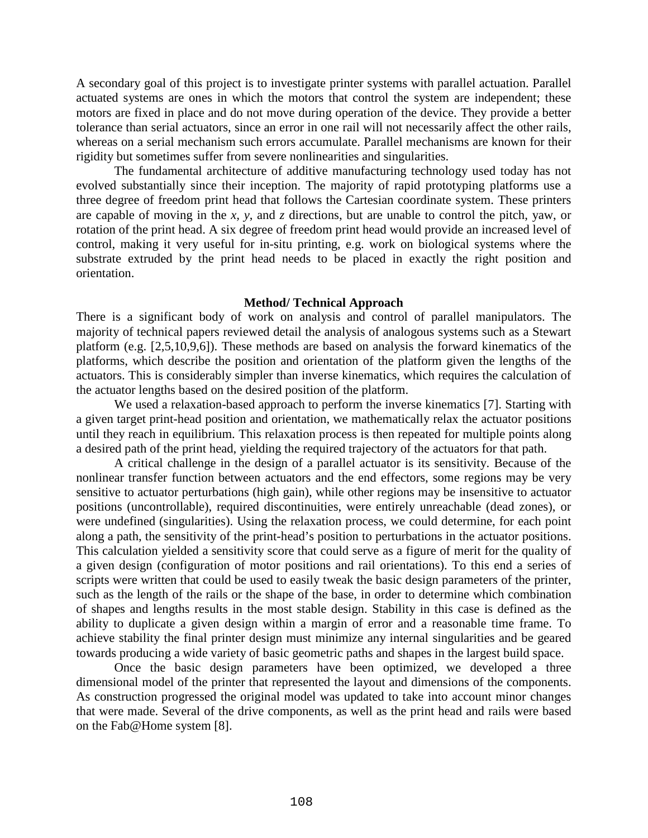A secondary goal of this project is to investigate printer systems with parallel actuation. Parallel actuated systems are ones in which the motors that control the system are independent; these motors are fixed in place and do not move during operation of the device. They provide a better tolerance than serial actuators, since an error in one rail will not necessarily affect the other rails, whereas on a serial mechanism such errors accumulate. Parallel mechanisms are known for their rigidity but sometimes suffer from severe nonlinearities and singularities.

The fundamental architecture of additive manufacturing technology used today has not evolved substantially since their inception. The majority of rapid prototyping platforms use a three degree of freedom print head that follows the Cartesian coordinate system. These printers are capable of moving in the *x, y*, and *z* directions, but are unable to control the pitch, yaw, or rotation of the print head. A six degree of freedom print head would provide an increased level of control, making it very useful for in-situ printing, e.g. work on biological systems where the substrate extruded by the print head needs to be placed in exactly the right position and orientation.

#### **Method/ Technical Approach**

There is a significant body of work on analysis and control of parallel manipulators. The majority of technical papers reviewed detail the analysis of analogous systems such as a Stewart platform (e.g. [\[2](#page-7-5)[,5](#page-7-6)[,10](#page-7-7)[,9](#page-7-8)[,6\]](#page-7-9)). These methods are based on analysis the forward kinematics of the platforms, which describe the position and orientation of the platform given the lengths of the actuators. This is considerably simpler than inverse kinematics, which requires the calculation of the actuator lengths based on the desired position of the platform.

We used a relaxation-based approach to perform the inverse kinematics [\[7\]](#page-7-10). Starting with a given target print-head position and orientation, we mathematically relax the actuator positions until they reach in equilibrium. This relaxation process is then repeated for multiple points along a desired path of the print head, yielding the required trajectory of the actuators for that path.

A critical challenge in the design of a parallel actuator is its sensitivity. Because of the nonlinear transfer function between actuators and the end effectors, some regions may be very sensitive to actuator perturbations (high gain), while other regions may be insensitive to actuator positions (uncontrollable), required discontinuities, were entirely unreachable (dead zones), or were undefined (singularities). Using the relaxation process, we could determine, for each point along a path, the sensitivity of the print-head's position to perturbations in the actuator positions. This calculation yielded a sensitivity score that could serve as a figure of merit for the quality of a given design (configuration of motor positions and rail orientations). To this end a series of scripts were written that could be used to easily tweak the basic design parameters of the printer, such as the length of the rails or the shape of the base, in order to determine which combination of shapes and lengths results in the most stable design. Stability in this case is defined as the ability to duplicate a given design within a margin of error and a reasonable time frame. To achieve stability the final printer design must minimize any internal singularities and be geared towards producing a wide variety of basic geometric paths and shapes in the largest build space.

Once the basic design parameters have been optimized, we developed a three dimensional model of the printer that represented the layout and dimensions of the components. As construction progressed the original model was updated to take into account minor changes that were made. Several of the drive components, as well as the print head and rails were based on the Fab@Home system [\[8\]](#page-7-11).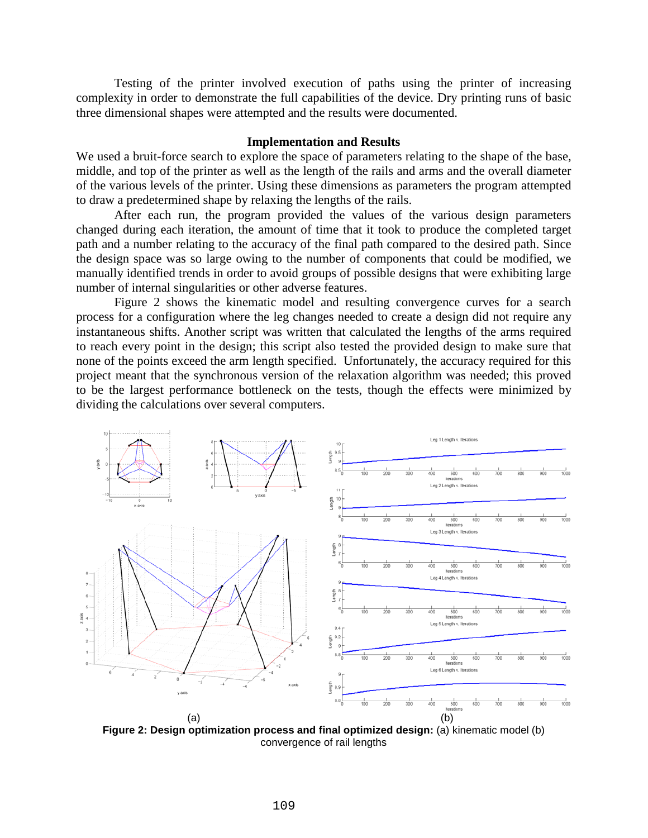Testing of the printer involved execution of paths using the printer of increasing complexity in order to demonstrate the full capabilities of the device. Dry printing runs of basic three dimensional shapes were attempted and the results were documented.

#### **Implementation and Results**

We used a bruit-force search to explore the space of parameters relating to the shape of the base, middle, and top of the printer as well as the length of the rails and arms and the overall diameter of the various levels of the printer. Using these dimensions as parameters the program attempted to draw a predetermined shape by relaxing the lengths of the rails.

After each run, the program provided the values of the various design parameters changed during each iteration, the amount of time that it took to produce the completed target path and a number relating to the accuracy of the final path compared to the desired path. Since the design space was so large owing to the number of components that could be modified, we manually identified trends in order to avoid groups of possible designs that were exhibiting large number of internal singularities or other adverse features.

[Figure 2](#page-2-0) shows the kinematic model and resulting convergence curves for a search process for a configuration where the leg changes needed to create a design did not require any instantaneous shifts. Another script was written that calculated the lengths of the arms required to reach every point in the design; this script also tested the provided design to make sure that none of the points exceed the arm length specified. Unfortunately, the accuracy required for this project meant that the synchronous version of the relaxation algorithm was needed; this proved to be the largest performance bottleneck on the tests, though the effects were minimized by dividing the calculations over several computers.



<span id="page-2-0"></span>**Figure 2: Design optimization process and final optimized design:** (a) kinematic model (b) convergence of rail lengths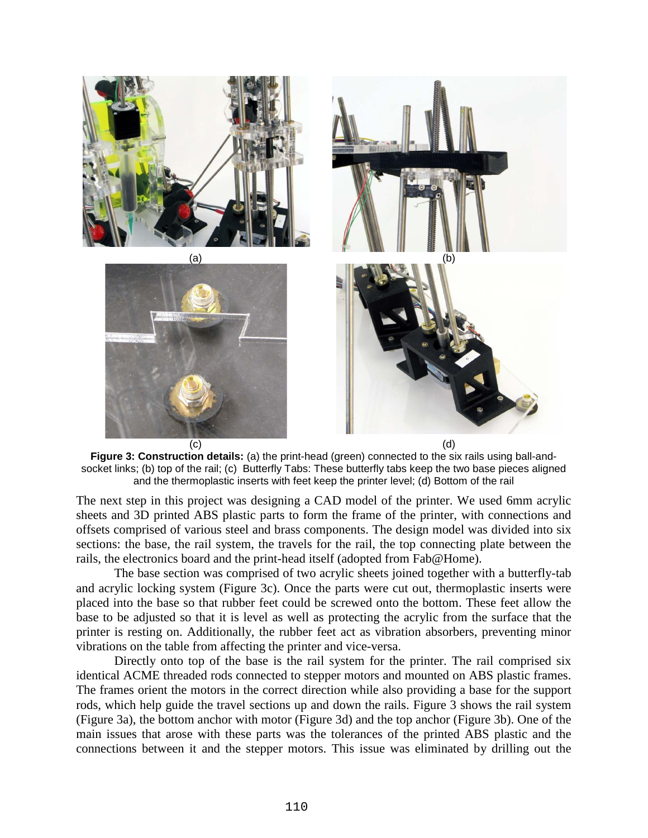

**Figure 3: Construction details:** (a) the print-head (green) connected to the six rails using ball-andsocket links; (b) top of the rail; (c) Butterfly Tabs: These butterfly tabs keep the two base pieces aligned and the thermoplastic inserts with feet keep the printer level; (d) Bottom of the rail

<span id="page-3-0"></span>The next step in this project was designing a CAD model of the printer. We used 6mm acrylic sheets and 3D printed ABS plastic parts to form the frame of the printer, with connections and offsets comprised of various steel and brass components. The design model was divided into six sections: the base, the rail system, the travels for the rail, the top connecting plate between the rails, the electronics board and the print-head itself (adopted from Fab@Home).

The base section was comprised of two acrylic sheets joined together with a butterfly-tab and acrylic locking system [\(Figure 3c](#page-3-0)). Once the parts were cut out, thermoplastic inserts were placed into the base so that rubber feet could be screwed onto the bottom. These feet allow the base to be adjusted so that it is level as well as protecting the acrylic from the surface that the printer is resting on. Additionally, the rubber feet act as vibration absorbers, preventing minor vibrations on the table from affecting the printer and vice-versa.

Directly onto top of the base is the rail system for the printer. The rail comprised six identical ACME threaded rods connected to stepper motors and mounted on ABS plastic frames. The frames orient the motors in the correct direction while also providing a base for the support rods, which help guide the travel sections up and down the rails. [Figure 3](#page-3-0) shows the rail system [\(Figure 3a](#page-3-0)), the bottom anchor with motor [\(Figure 3d](#page-3-0)) and the top anchor [\(Figure 3b](#page-3-0)). One of the main issues that arose with these parts was the tolerances of the printed ABS plastic and the connections between it and the stepper motors. This issue was eliminated by drilling out the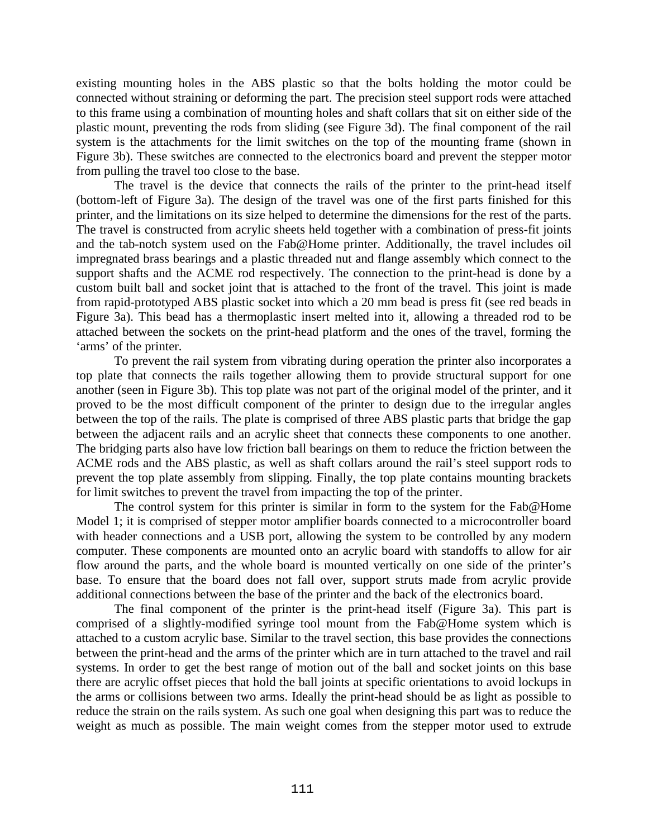existing mounting holes in the ABS plastic so that the bolts holding the motor could be connected without straining or deforming the part. The precision steel support rods were attached to this frame using a combination of mounting holes and shaft collars that sit on either side of the plastic mount, preventing the rods from sliding (see [Figure 3d](#page-3-0)). The final component of the rail system is the attachments for the limit switches on the top of the mounting frame (shown in [Figure 3b](#page-3-0)). These switches are connected to the electronics board and prevent the stepper motor from pulling the travel too close to the base.

The travel is the device that connects the rails of the printer to the print-head itself (bottom-left of [Figure 3a](#page-3-0)). The design of the travel was one of the first parts finished for this printer, and the limitations on its size helped to determine the dimensions for the rest of the parts. The travel is constructed from acrylic sheets held together with a combination of press-fit joints and the tab-notch system used on the Fab@Home printer. Additionally, the travel includes oil impregnated brass bearings and a plastic threaded nut and flange assembly which connect to the support shafts and the ACME rod respectively. The connection to the print-head is done by a custom built ball and socket joint that is attached to the front of the travel. This joint is made from rapid-prototyped ABS plastic socket into which a 20 mm bead is press fit (see red beads in [Figure 3a](#page-3-0)). This bead has a thermoplastic insert melted into it, allowing a threaded rod to be attached between the sockets on the print-head platform and the ones of the travel, forming the 'arms' of the printer.

To prevent the rail system from vibrating during operation the printer also incorporates a top plate that connects the rails together allowing them to provide structural support for one another (seen in [Figure 3b](#page-3-0)). This top plate was not part of the original model of the printer, and it proved to be the most difficult component of the printer to design due to the irregular angles between the top of the rails. The plate is comprised of three ABS plastic parts that bridge the gap between the adjacent rails and an acrylic sheet that connects these components to one another. The bridging parts also have low friction ball bearings on them to reduce the friction between the ACME rods and the ABS plastic, as well as shaft collars around the rail's steel support rods to prevent the top plate assembly from slipping. Finally, the top plate contains mounting brackets for limit switches to prevent the travel from impacting the top of the printer.

The control system for this printer is similar in form to the system for the Fab@Home Model 1; it is comprised of stepper motor amplifier boards connected to a microcontroller board with header connections and a USB port, allowing the system to be controlled by any modern computer. These components are mounted onto an acrylic board with standoffs to allow for air flow around the parts, and the whole board is mounted vertically on one side of the printer's base. To ensure that the board does not fall over, support struts made from acrylic provide additional connections between the base of the printer and the back of the electronics board.

The final component of the printer is the print-head itself [\(Figure 3a](#page-3-0)). This part is comprised of a slightly-modified syringe tool mount from the Fab@Home system which is attached to a custom acrylic base. Similar to the travel section, this base provides the connections between the print-head and the arms of the printer which are in turn attached to the travel and rail systems. In order to get the best range of motion out of the ball and socket joints on this base there are acrylic offset pieces that hold the ball joints at specific orientations to avoid lockups in the arms or collisions between two arms. Ideally the print-head should be as light as possible to reduce the strain on the rails system. As such one goal when designing this part was to reduce the weight as much as possible. The main weight comes from the stepper motor used to extrude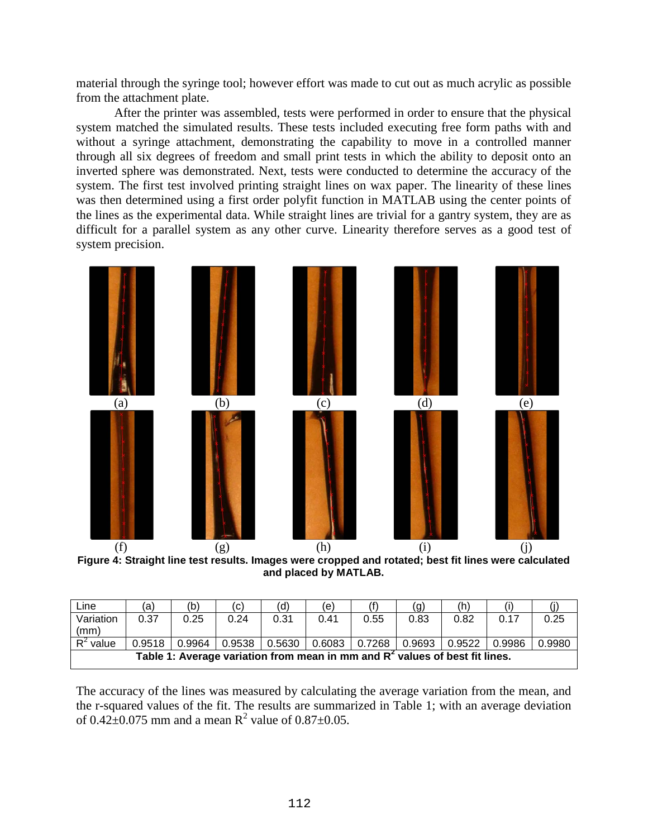material through the syringe tool; however effort was made to cut out as much acrylic as possible from the attachment plate.

After the printer was assembled, tests were performed in order to ensure that the physical system matched the simulated results. These tests included executing free form paths with and without a syringe attachment, demonstrating the capability to move in a controlled manner through all six degrees of freedom and small print tests in which the ability to deposit onto an inverted sphere was demonstrated. Next, tests were conducted to determine the accuracy of the system. The first test involved printing straight lines on wax paper. The linearity of these lines was then determined using a first order polyfit function in MATLAB using the center points of the lines as the experimental data. While straight lines are trivial for a gantry system, they are as difficult for a parallel system as any other curve. Linearity therefore serves as a good test of system precision.



**Figure 4: Straight line test results. Images were cropped and rotated; best fit lines were calculated and placed by MATLAB.**

| Line                                                                          | (a)    | (b)    | (C)    | (d)    | (e)  |                 | (g)    | (h)    |        |        |
|-------------------------------------------------------------------------------|--------|--------|--------|--------|------|-----------------|--------|--------|--------|--------|
| Variation                                                                     | 0.37   | 0.25   | 0.24   | 0.31   | 0.41 | 0.55            | 0.83   | 0.82   | 0.17   | 0.25   |
| (mm)                                                                          |        |        |        |        |      |                 |        |        |        |        |
| value                                                                         | 0.9518 | 0.9964 | 0.9538 | 0.5630 |      | $0.6083$ 0.7268 | 0.9693 | 0.9522 | 0.9986 | 0.9980 |
| Table 1: Average variation from mean in mm and $R2$ values of best fit lines. |        |        |        |        |      |                 |        |        |        |        |

<span id="page-5-0"></span>The accuracy of the lines was measured by calculating the average variation from the mean, and the r-squared values of the fit. The results are summarized in [Table 1;](#page-5-0) with an average deviation of  $0.42 \pm 0.075$  mm and a mean R<sup>2</sup> value of  $0.87 \pm 0.05$ .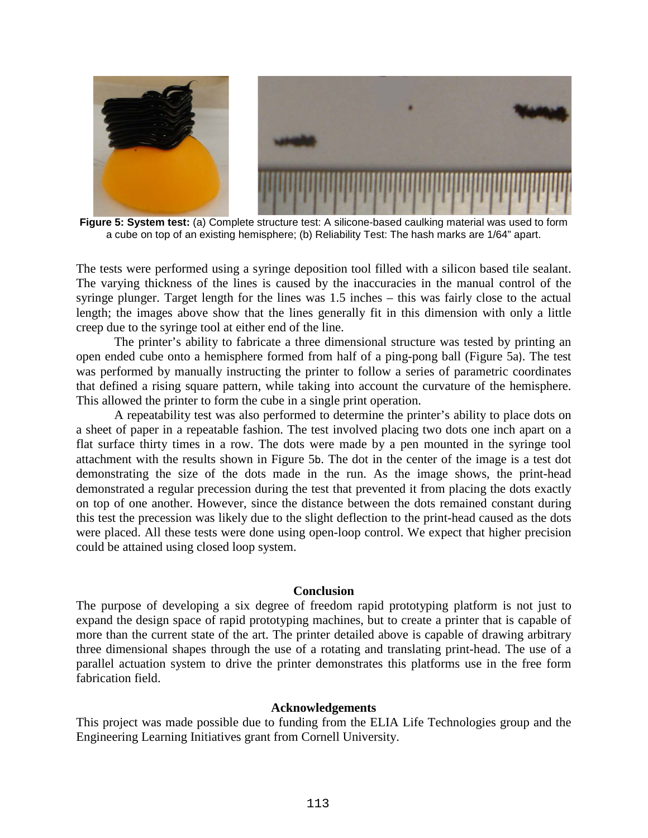

**Figure 5: System test:** (a) Complete structure test: A silicone-based caulking material was used to form a cube on top of an existing hemisphere; (b) Reliability Test: The hash marks are 1/64" apart.

<span id="page-6-0"></span>The tests were performed using a syringe deposition tool filled with a silicon based tile sealant. The varying thickness of the lines is caused by the inaccuracies in the manual control of the syringe plunger. Target length for the lines was 1.5 inches – this was fairly close to the actual length; the images above show that the lines generally fit in this dimension with only a little creep due to the syringe tool at either end of the line.

The printer's ability to fabricate a three dimensional structure was tested by printing an open ended cube onto a hemisphere formed from half of a ping-pong ball [\(Figure 5a](#page-6-0)). The test was performed by manually instructing the printer to follow a series of parametric coordinates that defined a rising square pattern, while taking into account the curvature of the hemisphere. This allowed the printer to form the cube in a single print operation.

A repeatability test was also performed to determine the printer's ability to place dots on a sheet of paper in a repeatable fashion. The test involved placing two dots one inch apart on a flat surface thirty times in a row. The dots were made by a pen mounted in the syringe tool attachment with the results shown in [Figure 5](#page-6-0)b. The dot in the center of the image is a test dot demonstrating the size of the dots made in the run. As the image shows, the print-head demonstrated a regular precession during the test that prevented it from placing the dots exactly on top of one another. However, since the distance between the dots remained constant during this test the precession was likely due to the slight deflection to the print-head caused as the dots were placed. All these tests were done using open-loop control. We expect that higher precision could be attained using closed loop system.

#### **Conclusion**

The purpose of developing a six degree of freedom rapid prototyping platform is not just to expand the design space of rapid prototyping machines, but to create a printer that is capable of more than the current state of the art. The printer detailed above is capable of drawing arbitrary three dimensional shapes through the use of a rotating and translating print-head. The use of a parallel actuation system to drive the printer demonstrates this platforms use in the free form fabrication field.

### **Acknowledgements**

This project was made possible due to funding from the ELIA Life Technologies group and the Engineering Learning Initiatives grant from Cornell University.